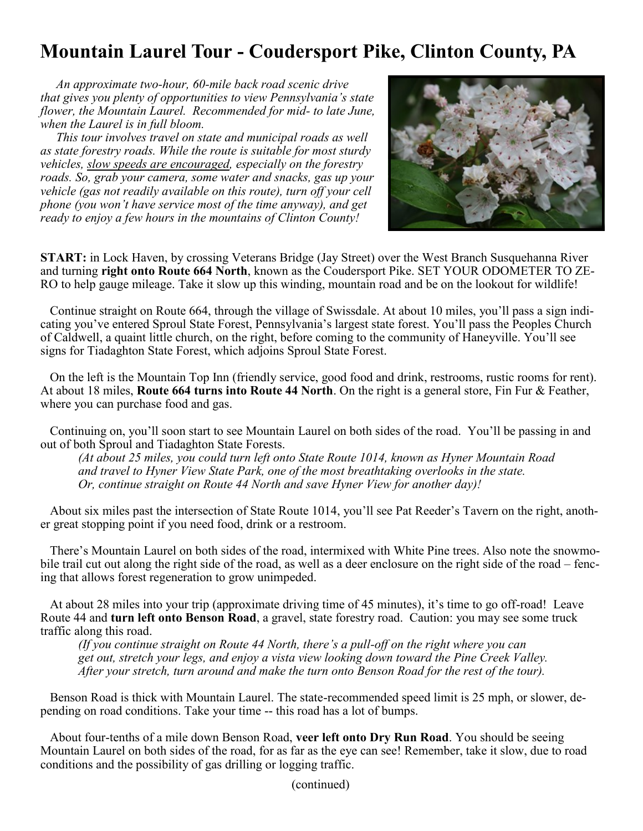## **Mountain Laurel Tour - Coudersport Pike, Clinton County, PA**

 *An approximate two-hour, 60-mile back road scenic drive that gives you plenty of opportunities to view Pennsylvania's state flower, the Mountain Laurel. Recommended for mid- to late June, when the Laurel is in full bloom.*

 *This tour involves travel on state and municipal roads as well as state forestry roads. While the route is suitable for most sturdy vehicles, slow speeds are encouraged, especially on the forestry roads. So, grab your camera, some water and snacks, gas up your vehicle (gas not readily available on this route), turn off your cell phone (you won't have service most of the time anyway), and get ready to enjoy a few hours in the mountains of Clinton County!*



**START:** in Lock Haven, by crossing Veterans Bridge (Jay Street) over the West Branch Susquehanna River and turning **right onto Route 664 North**, known as the Coudersport Pike. SET YOUR ODOMETER TO ZE-RO to help gauge mileage. Take it slow up this winding, mountain road and be on the lookout for wildlife!

 Continue straight on Route 664, through the village of Swissdale. At about 10 miles, you'll pass a sign indicating you've entered Sproul State Forest, Pennsylvania's largest state forest. You'll pass the Peoples Church of Caldwell, a quaint little church, on the right, before coming to the community of Haneyville. You'll see signs for Tiadaghton State Forest, which adjoins Sproul State Forest.

 On the left is the Mountain Top Inn (friendly service, good food and drink, restrooms, rustic rooms for rent). At about 18 miles, **Route 664 turns into Route 44 North**. On the right is a general store, Fin Fur & Feather, where you can purchase food and gas.

 Continuing on, you'll soon start to see Mountain Laurel on both sides of the road. You'll be passing in and out of both Sproul and Tiadaghton State Forests.

*(At about 25 miles, you could turn left onto State Route 1014, known as Hyner Mountain Road and travel to Hyner View State Park, one of the most breathtaking overlooks in the state. Or, continue straight on Route 44 North and save Hyner View for another day)!*

 About six miles past the intersection of State Route 1014, you'll see Pat Reeder's Tavern on the right, another great stopping point if you need food, drink or a restroom.

 There's Mountain Laurel on both sides of the road, intermixed with White Pine trees. Also note the snowmobile trail cut out along the right side of the road, as well as a deer enclosure on the right side of the road – fencing that allows forest regeneration to grow unimpeded.

 At about 28 miles into your trip (approximate driving time of 45 minutes), it's time to go off-road! Leave Route 44 and **turn left onto Benson Road**, a gravel, state forestry road. Caution: you may see some truck traffic along this road.

*(If you continue straight on Route 44 North, there's a pull-off on the right where you can get out, stretch your legs, and enjoy a vista view looking down toward the Pine Creek Valley. After your stretch, turn around and make the turn onto Benson Road for the rest of the tour).*

 Benson Road is thick with Mountain Laurel. The state-recommended speed limit is 25 mph, or slower, depending on road conditions. Take your time -- this road has a lot of bumps.

 About four-tenths of a mile down Benson Road, **veer left onto Dry Run Road**. You should be seeing Mountain Laurel on both sides of the road, for as far as the eye can see! Remember, take it slow, due to road conditions and the possibility of gas drilling or logging traffic.

(continued)